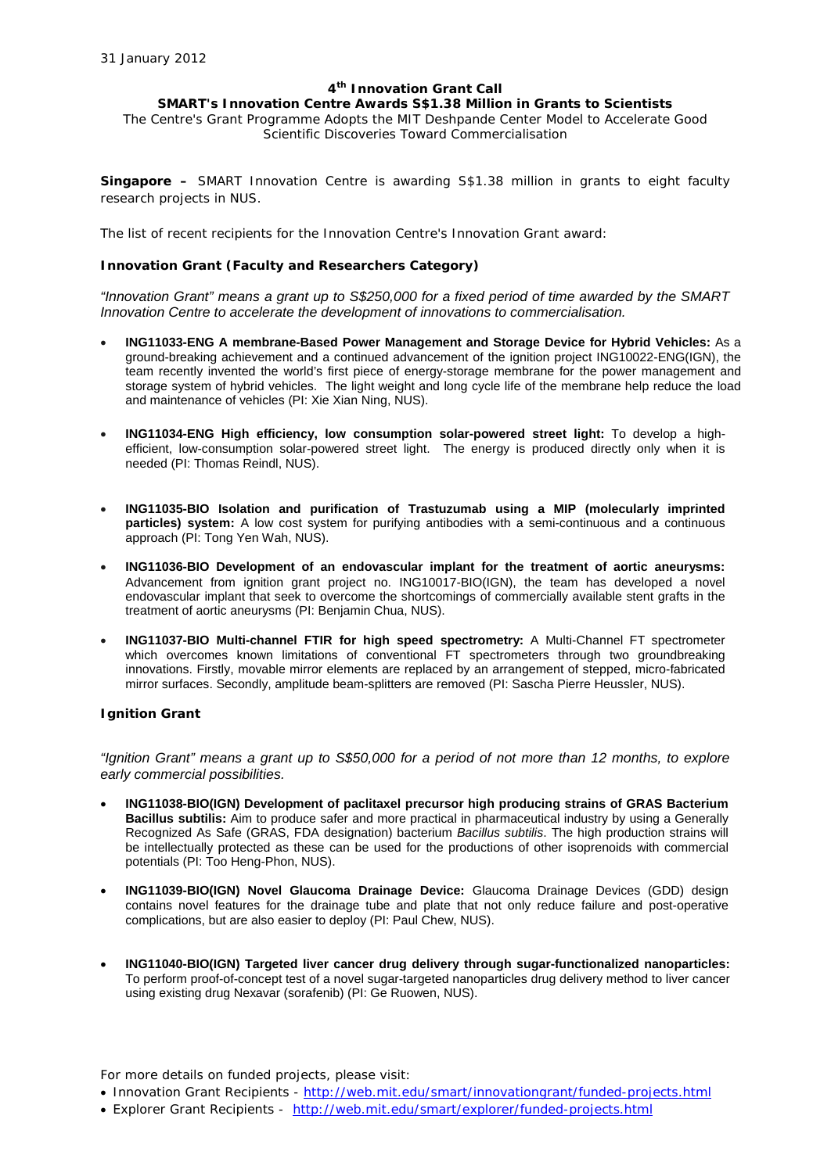#### **4th Innovation Grant Call**

## **SMART's Innovation Centre Awards S\$1.38 Million in Grants to Scientists**

The Centre's Grant Programme Adopts the MIT Deshpande Center Model to Accelerate Good Scientific Discoveries Toward Commercialisation

**Singapore –** SMART Innovation Centre is awarding S\$1.38 million in grants to eight faculty research projects in NUS.

The list of recent recipients for the Innovation Centre's Innovation Grant award:

## **Innovation Grant (Faculty and Researchers Category)**

*"Innovation Grant" means a grant up to S\$250,000 for a fixed period of time awarded by the SMART Innovation Centre to accelerate the development of innovations to commercialisation.*

- **ING11033-ENG A membrane-Based Power Management and Storage Device for Hybrid Vehicles:** As a ground-breaking achievement and a continued advancement of the ignition project ING10022-ENG(IGN), the team recently invented the world's first piece of energy-storage membrane for the power management and storage system of hybrid vehicles. The light weight and long cycle life of the membrane help reduce the load and maintenance of vehicles (PI: Xie Xian Ning, NUS).
- **ING11034-ENG High efficiency, low consumption solar-powered street light:** To develop a highefficient, low-consumption solar-powered street light. The energy is produced directly only when it is needed (PI: Thomas Reindl, NUS).
- **ING11035-BIO Isolation and purification of Trastuzumab using a MIP (molecularly imprinted particles) system:** A low cost system for purifying antibodies with a semi-continuous and a continuous approach (PI: Tong Yen Wah, NUS).
- **ING11036-BIO Development of an endovascular implant for the treatment of aortic aneurysms:**  Advancement from ignition grant project no. ING10017-BIO(IGN), the team has developed a novel endovascular implant that seek to overcome the shortcomings of commercially available stent grafts in the treatment of aortic aneurysms (PI: Benjamin Chua, NUS).
- **ING11037-BIO Multi-channel FTIR for high speed spectrometry:** A Multi-Channel FT spectrometer which overcomes known limitations of conventional FT spectrometers through two groundbreaking innovations. Firstly, movable mirror elements are replaced by an arrangement of stepped, micro-fabricated mirror surfaces. Secondly, amplitude beam-splitters are removed (PI: Sascha Pierre Heussler, NUS).

#### **Ignition Grant**

*"Ignition Grant" means a grant up to S\$50,000 for a period of not more than 12 months, to explore early commercial possibilities.*

- **ING11038-BIO(IGN) Development of paclitaxel precursor high producing strains of GRAS Bacterium Bacillus subtilis:** Aim to produce safer and more practical in pharmaceutical industry by using a Generally Recognized As Safe (GRAS, FDA designation) bacterium *Bacillus subtilis*. The high production strains will be intellectually protected as these can be used for the productions of other isoprenoids with commercial potentials (PI: Too Heng-Phon, NUS).
- **ING11039-BIO(IGN) Novel Glaucoma Drainage Device:** Glaucoma Drainage Devices (GDD) design contains novel features for the drainage tube and plate that not only reduce failure and post-operative complications, but are also easier to deploy (PI: Paul Chew, NUS).
- **ING11040-BIO(IGN) Targeted liver cancer drug delivery through sugar-functionalized nanoparticles:** To perform proof-of-concept test of a novel sugar-targeted nanoparticles drug delivery method to liver cancer using existing drug Nexavar (sorafenib) (PI: Ge Ruowen, NUS).

*For more details on funded projects, please visit:*

- *Innovation Grant Recipients - <http://web.mit.edu/smart/innovationgrant/funded-projects.html>*
- *Explorer Grant Recipients <http://web.mit.edu/smart/explorer/funded-projects.html>*